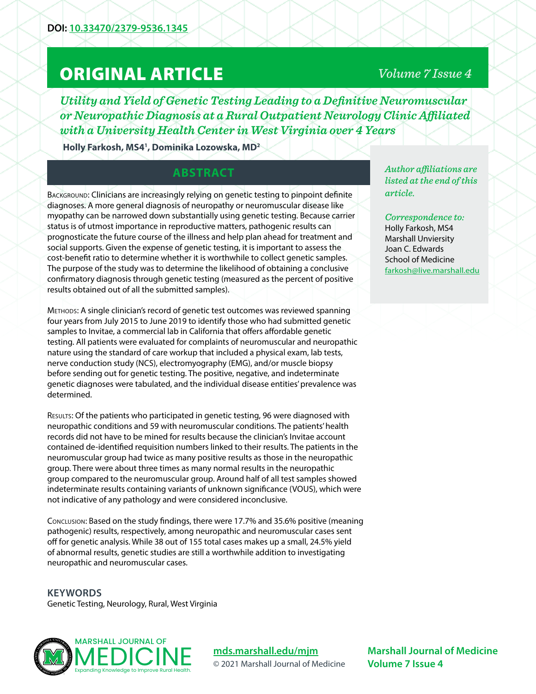# ORIGINAL ARTICLE

# *Volume 7 Issue 4*

*Utility and Yield of Genetic Testing Leading to a Definitive Neuromuscular or Neuropathic Diagnosis at a Rural Outpatient Neurology Clinic Affiliated with a University Health Center in West Virginia over 4 Years*

**Holly Farkosh, MS41 , Dominika Lozowska, MD2**

## **ABSTRACT**

Background: Clinicians are increasingly relying on genetic testing to pinpoint definite diagnoses. A more general diagnosis of neuropathy or neuromuscular disease like myopathy can be narrowed down substantially using genetic testing. Because carrier status is of utmost importance in reproductive matters, pathogenic results can prognosticate the future course of the illness and help plan ahead for treatment and social supports. Given the expense of genetic testing, it is important to assess the cost-benefit ratio to determine whether it is worthwhile to collect genetic samples. The purpose of the study was to determine the likelihood of obtaining a conclusive confirmatory diagnosis through genetic testing (measured as the percent of positive results obtained out of all the submitted samples).

Methods: A single clinician's record of genetic test outcomes was reviewed spanning four years from July 2015 to June 2019 to identify those who had submitted genetic samples to Invitae, a commercial lab in California that offers affordable genetic testing. All patients were evaluated for complaints of neuromuscular and neuropathic nature using the standard of care workup that included a physical exam, lab tests, nerve conduction study (NCS), electromyography (EMG), and/or muscle biopsy before sending out for genetic testing. The positive, negative, and indeterminate genetic diagnoses were tabulated, and the individual disease entities' prevalence was determined.

Results: Of the patients who participated in genetic testing, 96 were diagnosed with neuropathic conditions and 59 with neuromuscular conditions. The patients' health records did not have to be mined for results because the clinician's Invitae account contained de-identified requisition numbers linked to their results. The patients in the neuromuscular group had twice as many positive results as those in the neuropathic group. There were about three times as many normal results in the neuropathic group compared to the neuromuscular group. Around half of all test samples showed indeterminate results containing variants of unknown significance (VOUS), which were not indicative of any pathology and were considered inconclusive.

Conclusion: Based on the study findings, there were 17.7% and 35.6% positive (meaning pathogenic) results, respectively, among neuropathic and neuromuscular cases sent off for genetic analysis. While 38 out of 155 total cases makes up a small, 24.5% yield of abnormal results, genetic studies are still a worthwhile addition to investigating neuropathic and neuromuscular cases.

**KEYWORDS** Genetic Testing, Neurology, Rural, West Virginia



**[mds.marshall.edu/mjm](https://mds.marshall.edu/mjm/)** © 2021 Marshall Journal of Medicine *Author affiliations are listed at the end of this article.* 

*Correspondence to:*  Holly Farkosh, MS4 Marshall Unviersity Joan C. Edwards School of Medicine [farkosh@live.marshall.edu](mailto:farkosh%40live.marshall.edu?subject=)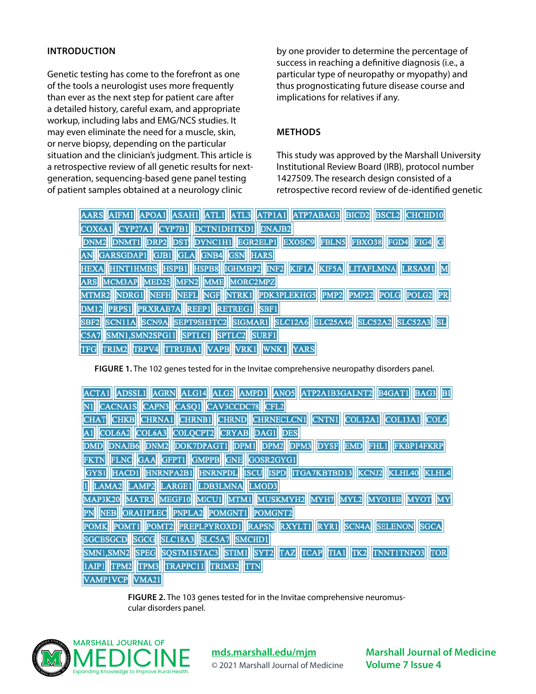#### **INTRODUCTION**

Genetic testing has come to the forefront as one of the tools a neurologist uses more frequently than ever as the next step for patient care after a detailed history, careful exam, and appropriate workup, including labs and EMG/NCS studies. It may even eliminate the need for a muscle, skin, or nerve biopsy, depending on the particular situation and the clinician's judgment. This article is a retrospective review of all genetic results for nextgeneration, sequencing-based gene panel testing of patient samples obtained at a neurology clinic

by one provider to determine the percentage of success in reaching a definitive diagnosis (i.e., a particular type of neuropathy or myopathy) and thus prognosticating future disease course and implications for relatives if any.

#### **METHODS**

This study was approved by the Marshall University Institutional Review Board (IRB), protocol number 1427509. The research design consisted of a retrospective record review of de-identified genetic

| AARS AIFM1 APOA1 ASAH1 ATL1 ATL3 ATP1A1 ATP7ABAG3 BICD2 BSCL2 CHCHD10     |
|---------------------------------------------------------------------------|
| COX6A1 CYP27A1 CYP7B1 DCTN1DHTKD1 DNAJB2                                  |
| DNM2 DNMT1 DRP2 DST DYNC1H1 EGR2ELP1 EXOSC9 FBLN5 FBX038 FGD4 FIG4 G      |
| AN GARSGDAP1 GJB1 GLA GNB4 GSN HARS                                       |
| HEXA HINTIHMBS HSPB1 HSPB8 IGHMBP2 INF2 KIF1A KIF5A LITAFLMNA LRSAM1 M    |
| ARS MCM3AP MED25 MFN2 MME MORC2MPZ                                        |
| MTMR2 NDRG1 NEFH NEFL NGF NTRK1 PDK3PLEKHG5 PMP2 PMP22 POLG POLG2 PR      |
| DM12 PRPS1 PRXRAB7A REEP1 RETREG1 SBF1                                    |
| SBF2 SCN11A SCN9A SEPT9SH3TC2 SIGMAR1 SLC12A6 SLC25A46 SLC52A2 SLC52A3 SL |
| SMN1, SMN2SPG11 SPTLC1 SPTLC2 SURF1<br>C5A7                               |
| TFG TRIM2 TRPV4 TTRUBA1 VAPB VRK1 WNK1 YARS                               |

**FIGURE 1.** The 102 genes tested for in the Invitae comprehensive neuropathy disorders panel.

ACTA1 ADSSL1 AGRN ALG14 ALG2 AMPD1 ANO5 ATP2A1B3GALNT2 B4GAT1 BAG3 BI N1 CACNA1S CAPN3 CASQ1 CAV3CCDC78 CFL2 CHAT CHKB CHRNA1 CHRNB1 CHRND CHRNECLCN1 CNTN1 COL12A1 COL13A1 COL6 A1 COL6A2 COL6A3 COLQCPT2 CRYAB DAG1 DES DMD DNAJB6 DNM2 DOK7DPAGT1 DPM1 DPM2 DPM3 DYSF EMD FHL1 FKBP14FKRP FKTN FLNC GAA GFPT1 GMPPB GNE GOSR2GYG1 GYS1 HACD1 HNRNPA2B1 HNRNPDL ISCU ISPD ITGA7KBTBD13 KLHL4 **KCNJ2** KLHL40 1 LAMA2 LAMP2 LARGE1 LDB3LMNA LMOD3 MAP3K20 MATR3 MEGF10 MICU1 MTM1 MUSKMYH2 MYH7 MYL2 MYO18B **MYOT MY** PN NEB ORAI1PLEC PNPLA2 POMGNT1 POMGNT2 POMK POMT1 POMT2 PREPLPYROXD1 RAPSN RXYLT1 RYR1 SCN4A **SELENON SGCA** SGCBSGCD SGCG SLC18A3 SLC5A7 SMCHD1 SMN1,SMN2 SPEG SQSTM1STAC3 STIM1 SYT2 TAZ TCAP TIA1 TK2 TNNT1TNPO3 TOR 1AIP1 TPM2 TPM3 TRAPPC11 TRIM32 TTN VAMP1VCP VMA21

> **FIGURE 2.** The 103 genes tested for in the Invitae comprehensive neuromuscular disorders panel.



**[mds.marshall.edu/mjm](https://mds.marshall.edu/mjm/)**

© 2021 Marshall Journal of Medicine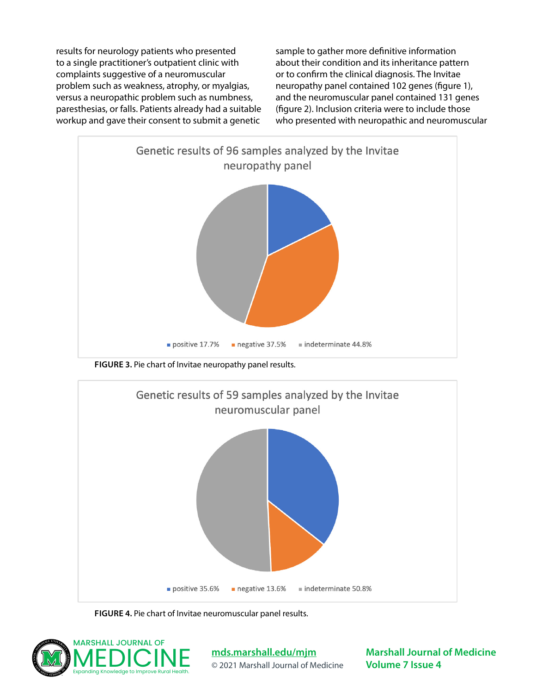results for neurology patients who presented to a single practitioner's outpatient clinic with complaints suggestive of a neuromuscular problem such as weakness, atrophy, or myalgias, versus a neuropathic problem such as numbness, paresthesias, or falls. Patients already had a suitable workup and gave their consent to submit a genetic

sample to gather more definitive information about their condition and its inheritance pattern or to confirm the clinical diagnosis. The Invitae neuropathy panel contained 102 genes (figure 1), and the neuromuscular panel contained 131 genes (figure 2). Inclusion criteria were to include those who presented with neuropathic and neuromuscular



**FIGURE 3.** Pie chart of Invitae neuropathy panel results.



**FIGURE 4.** Pie chart of Invitae neuromuscular panel results.



**[mds.marshall.edu/mjm](https://mds.marshall.edu/mjm/)** © 2021 Marshall Journal of Medicine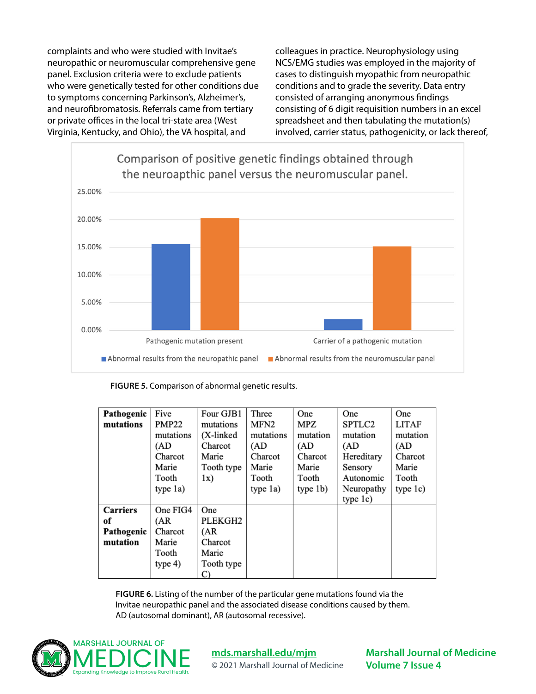complaints and who were studied with Invitae's neuropathic or neuromuscular comprehensive gene panel. Exclusion criteria were to exclude patients who were genetically tested for other conditions due to symptoms concerning Parkinson's, Alzheimer's, and neurofibromatosis. Referrals came from tertiary or private offices in the local tri-state area (West Virginia, Kentucky, and Ohio), the VA hospital, and

colleagues in practice. Neurophysiology using NCS/EMG studies was employed in the majority of cases to distinguish myopathic from neuropathic conditions and to grade the severity. Data entry consisted of arranging anonymous findings consisting of 6 digit requisition numbers in an excel spreadsheet and then tabulating the mutation(s) involved, carrier status, pathogenicity, or lack thereof,



| FIGURE 5. Comparison of abnormal genetic results. |  |
|---------------------------------------------------|--|
|---------------------------------------------------|--|

| Pathogenic      | Five              | Four GJB1  | Three            | One      | One        | One          |
|-----------------|-------------------|------------|------------------|----------|------------|--------------|
| mutations       | <b>PMP22</b>      | mutations  | MFN <sub>2</sub> | MPZ      | SPTLC2     | <b>LITAF</b> |
|                 | mutations         | (X-linked) | mutations        | mutation | mutation   | mutation     |
|                 | (AD               | Charcot    | (AD              | (AD      | (AD        | (AD          |
|                 | Charcot           | Marie      | Charcot          | Charcot  | Hereditary | Charcot      |
|                 | Marie             | Tooth type | Marie            | Marie    | Sensory    | Marie        |
|                 | Tooth             | 1x)        | Tooth            | Tooth    | Autonomic  | Tooth        |
|                 | type 1a)          |            | type 1a)         | type 1b) | Neuropathy | type 1c)     |
|                 |                   |            |                  |          | type 1c)   |              |
| <b>Carriers</b> | One FIG4          | One        |                  |          |            |              |
| of              | (AR               | PLEKGH2    |                  |          |            |              |
| Pathogenic      | Charcot           | (AR        |                  |          |            |              |
| mutation        | Marie             | Charcot    |                  |          |            |              |
|                 | Tooth             | Marie      |                  |          |            |              |
|                 | type <sub>4</sub> | Tooth type |                  |          |            |              |
|                 |                   | C)         |                  |          |            |              |

**FIGURE 6.** Listing of the number of the particular gene mutations found via the Invitae neuropathic panel and the associated disease conditions caused by them. AD (autosomal dominant), AR (autosomal recessive).



## **[mds.marshall.edu/mjm](https://mds.marshall.edu/mjm/)**

© 2021 Marshall Journal of Medicine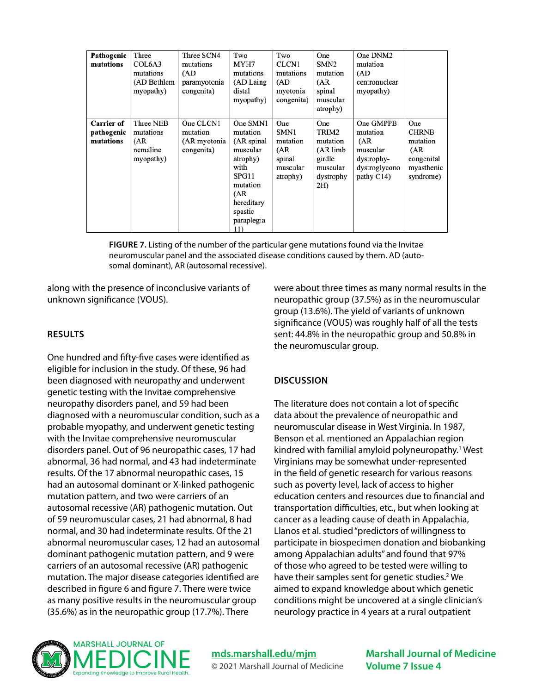| Pathogenic<br>mutations               | Three<br>COL6A3<br>mutations<br>(AD Bethlem<br>myopathy) | Three SCN4<br>mutations<br>(AD<br>paramyotonia<br>congenita) | Two<br>MYH7<br>mutations<br>(AD Laing)<br>distal<br>myopathy)                                                                                | Two<br>CLCN1<br>mutations<br>(AD<br>myotonia<br>congenita)       | One<br>SMN <sub>2</sub><br>mutation<br>(AR<br>spinal<br>muscular<br>atrophy)    | One DNM2<br>mutation<br>(AD<br>centronuclear<br>myopathy)                                 |                                                                                 |
|---------------------------------------|----------------------------------------------------------|--------------------------------------------------------------|----------------------------------------------------------------------------------------------------------------------------------------------|------------------------------------------------------------------|---------------------------------------------------------------------------------|-------------------------------------------------------------------------------------------|---------------------------------------------------------------------------------|
| Carrier of<br>pathogenic<br>mutations | Three NEB<br>mutations<br>(AR)<br>nemaline<br>myopathy)  | One CLCN1<br>mutation<br>(AR myotonia<br>congenita)          | One SMN1<br>mutation<br>(AR spinal<br>muscular<br>atrophy)<br>with<br>SPG11<br>mutation<br>(AR<br>hereditary<br>spastic<br>paraplegia<br>11) | One<br>SMN1<br>mutation<br>(AR<br>spinal<br>muscular<br>atrophy) | One<br>TRIM2<br>mutation<br>(AR limb)<br>girdle<br>muscular<br>dystrophy<br>2H) | One GMPPB<br>mutation<br>(AR)<br>muscular<br>dystrophy-<br>dystroglycono<br>pathy $C14$ ) | One<br><b>CHRNB</b><br>mutation<br>(AR<br>congenital<br>myasthenic<br>syndrome) |

**FIGURE 7.** Listing of the number of the particular gene mutations found via the Invitae neuromuscular panel and the associated disease conditions caused by them. AD (autosomal dominant), AR (autosomal recessive).

along with the presence of inconclusive variants of unknown significance (VOUS).

#### **RESULTS**

One hundred and fifty-five cases were identified as eligible for inclusion in the study. Of these, 96 had been diagnosed with neuropathy and underwent genetic testing with the Invitae comprehensive neuropathy disorders panel, and 59 had been diagnosed with a neuromuscular condition, such as a probable myopathy, and underwent genetic testing with the Invitae comprehensive neuromuscular disorders panel. Out of 96 neuropathic cases, 17 had abnormal, 36 had normal, and 43 had indeterminate results. Of the 17 abnormal neuropathic cases, 15 had an autosomal dominant or X-linked pathogenic mutation pattern, and two were carriers of an autosomal recessive (AR) pathogenic mutation. Out of 59 neuromuscular cases, 21 had abnormal, 8 had normal, and 30 had indeterminate results. Of the 21 abnormal neuromuscular cases, 12 had an autosomal dominant pathogenic mutation pattern, and 9 were carriers of an autosomal recessive (AR) pathogenic mutation. The major disease categories identified are described in figure 6 and figure 7. There were twice as many positive results in the neuromuscular group (35.6%) as in the neuropathic group (17.7%). There

were about three times as many normal results in the neuropathic group (37.5%) as in the neuromuscular group (13.6%). The yield of variants of unknown significance (VOUS) was roughly half of all the tests sent: 44.8% in the neuropathic group and 50.8% in the neuromuscular group.

#### **DISCUSSION**

The literature does not contain a lot of specific data about the prevalence of neuropathic and neuromuscular disease in West Virginia. In 1987, Benson et al. mentioned an Appalachian region kindred with familial amyloid polyneuropathy.<sup>1</sup> West Virginians may be somewhat under-represented in the field of genetic research for various reasons such as poverty level, lack of access to higher education centers and resources due to financial and transportation difficulties, etc., but when looking at cancer as a leading cause of death in Appalachia, Llanos et al. studied "predictors of willingness to participate in biospecimen donation and biobanking among Appalachian adults" and found that 97% of those who agreed to be tested were willing to have their samples sent for genetic studies.<sup>2</sup> We aimed to expand knowledge about which genetic conditions might be uncovered at a single clinician's neurology practice in 4 years at a rural outpatient



## **[mds.marshall.edu/mjm](https://mds.marshall.edu/mjm/)** © 2021 Marshall Journal of Medicine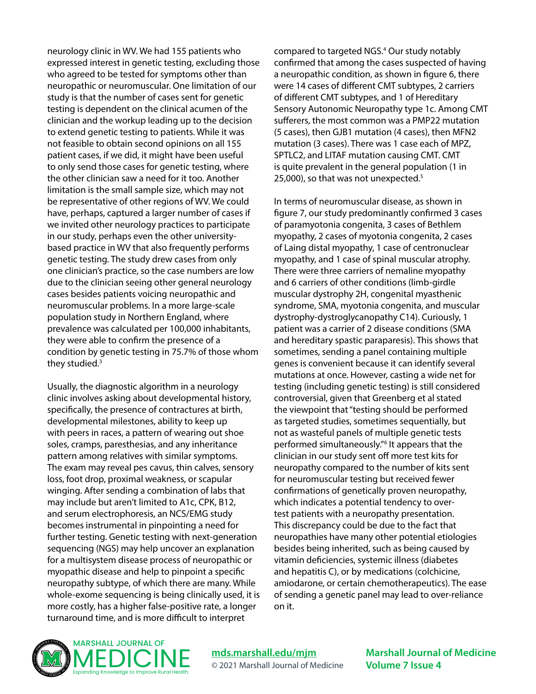neurology clinic in WV. We had 155 patients who expressed interest in genetic testing, excluding those who agreed to be tested for symptoms other than neuropathic or neuromuscular. One limitation of our study is that the number of cases sent for genetic testing is dependent on the clinical acumen of the clinician and the workup leading up to the decision to extend genetic testing to patients. While it was not feasible to obtain second opinions on all 155 patient cases, if we did, it might have been useful to only send those cases for genetic testing, where the other clinician saw a need for it too. Another limitation is the small sample size, which may not be representative of other regions of WV. We could have, perhaps, captured a larger number of cases if we invited other neurology practices to participate in our study, perhaps even the other universitybased practice in WV that also frequently performs genetic testing. The study drew cases from only one clinician's practice, so the case numbers are low due to the clinician seeing other general neurology cases besides patients voicing neuropathic and neuromuscular problems. In a more large-scale population study in Northern England, where prevalence was calculated per 100,000 inhabitants, they were able to confirm the presence of a condition by genetic testing in 75.7% of those whom they studied.<sup>3</sup>

Usually, the diagnostic algorithm in a neurology clinic involves asking about developmental history, specifically, the presence of contractures at birth, developmental milestones, ability to keep up with peers in races, a pattern of wearing out shoe soles, cramps, paresthesias, and any inheritance pattern among relatives with similar symptoms. The exam may reveal pes cavus, thin calves, sensory loss, foot drop, proximal weakness, or scapular winging. After sending a combination of labs that may include but aren't limited to A1c, CPK, B12, and serum electrophoresis, an NCS/EMG study becomes instrumental in pinpointing a need for further testing. Genetic testing with next-generation sequencing (NGS) may help uncover an explanation for a multisystem disease process of neuropathic or myopathic disease and help to pinpoint a specific neuropathy subtype, of which there are many. While whole-exome sequencing is being clinically used, it is more costly, has a higher false-positive rate, a longer turnaround time, and is more difficult to interpret

compared to targeted NGS.4 Our study notably confirmed that among the cases suspected of having a neuropathic condition, as shown in figure 6, there were 14 cases of different CMT subtypes, 2 carriers of different CMT subtypes, and 1 of Hereditary Sensory Autonomic Neuropathy type 1c. Among CMT sufferers, the most common was a PMP22 mutation (5 cases), then GJB1 mutation (4 cases), then MFN2 mutation (3 cases). There was 1 case each of MPZ, SPTLC2, and LITAF mutation causing CMT. CMT is quite prevalent in the general population (1 in 25,000), so that was not unexpected.<sup>5</sup>

In terms of neuromuscular disease, as shown in figure 7, our study predominantly confirmed 3 cases of paramyotonia congenita, 3 cases of Bethlem myopathy, 2 cases of myotonia congenita, 2 cases of Laing distal myopathy, 1 case of centronuclear myopathy, and 1 case of spinal muscular atrophy. There were three carriers of nemaline myopathy and 6 carriers of other conditions (limb-girdle muscular dystrophy 2H, congenital myasthenic syndrome, SMA, myotonia congenita, and muscular dystrophy-dystroglycanopathy C14). Curiously, 1 patient was a carrier of 2 disease conditions (SMA and hereditary spastic paraparesis). This shows that sometimes, sending a panel containing multiple genes is convenient because it can identify several mutations at once. However, casting a wide net for testing (including genetic testing) is still considered controversial, given that Greenberg et al stated the viewpoint that "testing should be performed as targeted studies, sometimes sequentially, but not as wasteful panels of multiple genetic tests performed simultaneously."6 It appears that the clinician in our study sent off more test kits for neuropathy compared to the number of kits sent for neuromuscular testing but received fewer confirmations of genetically proven neuropathy, which indicates a potential tendency to overtest patients with a neuropathy presentation. This discrepancy could be due to the fact that neuropathies have many other potential etiologies besides being inherited, such as being caused by vitamin deficiencies, systemic illness (diabetes and hepatitis C), or by medications (colchicine, amiodarone, or certain chemotherapeutics). The ease of sending a genetic panel may lead to over-reliance on it.



**[mds.marshall.edu/mjm](https://mds.marshall.edu/mjm/)** © 2021 Marshall Journal of Medicine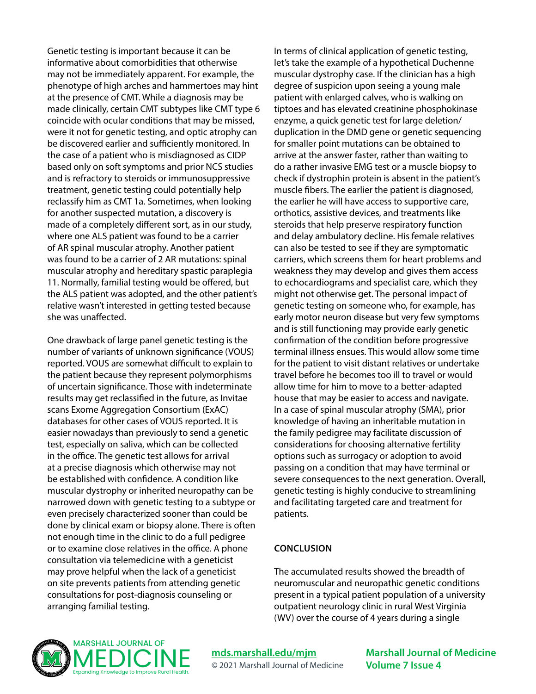Genetic testing is important because it can be informative about comorbidities that otherwise may not be immediately apparent. For example, the phenotype of high arches and hammertoes may hint at the presence of CMT. While a diagnosis may be made clinically, certain CMT subtypes like CMT type 6 coincide with ocular conditions that may be missed, were it not for genetic testing, and optic atrophy can be discovered earlier and sufficiently monitored. In the case of a patient who is misdiagnosed as CIDP based only on soft symptoms and prior NCS studies and is refractory to steroids or immunosuppressive treatment, genetic testing could potentially help reclassify him as CMT 1a. Sometimes, when looking for another suspected mutation, a discovery is made of a completely different sort, as in our study, where one ALS patient was found to be a carrier of AR spinal muscular atrophy. Another patient was found to be a carrier of 2 AR mutations: spinal muscular atrophy and hereditary spastic paraplegia 11. Normally, familial testing would be offered, but the ALS patient was adopted, and the other patient's relative wasn't interested in getting tested because she was unaffected.

One drawback of large panel genetic testing is the number of variants of unknown significance (VOUS) reported. VOUS are somewhat difficult to explain to the patient because they represent polymorphisms of uncertain significance. Those with indeterminate results may get reclassified in the future, as Invitae scans Exome Aggregation Consortium (ExAC) databases for other cases of VOUS reported. It is easier nowadays than previously to send a genetic test, especially on saliva, which can be collected in the office. The genetic test allows for arrival at a precise diagnosis which otherwise may not be established with confidence. A condition like muscular dystrophy or inherited neuropathy can be narrowed down with genetic testing to a subtype or even precisely characterized sooner than could be done by clinical exam or biopsy alone. There is often not enough time in the clinic to do a full pedigree or to examine close relatives in the office. A phone consultation via telemedicine with a geneticist may prove helpful when the lack of a geneticist on site prevents patients from attending genetic consultations for post-diagnosis counseling or arranging familial testing.

In terms of clinical application of genetic testing, let's take the example of a hypothetical Duchenne muscular dystrophy case. If the clinician has a high degree of suspicion upon seeing a young male patient with enlarged calves, who is walking on tiptoes and has elevated creatinine phosphokinase enzyme, a quick genetic test for large deletion/ duplication in the DMD gene or genetic sequencing for smaller point mutations can be obtained to arrive at the answer faster, rather than waiting to do a rather invasive EMG test or a muscle biopsy to check if dystrophin protein is absent in the patient's muscle fibers. The earlier the patient is diagnosed, the earlier he will have access to supportive care, orthotics, assistive devices, and treatments like steroids that help preserve respiratory function and delay ambulatory decline. His female relatives can also be tested to see if they are symptomatic carriers, which screens them for heart problems and weakness they may develop and gives them access to echocardiograms and specialist care, which they might not otherwise get. The personal impact of genetic testing on someone who, for example, has early motor neuron disease but very few symptoms and is still functioning may provide early genetic confirmation of the condition before progressive terminal illness ensues. This would allow some time for the patient to visit distant relatives or undertake travel before he becomes too ill to travel or would allow time for him to move to a better-adapted house that may be easier to access and navigate. In a case of spinal muscular atrophy (SMA), prior knowledge of having an inheritable mutation in the family pedigree may facilitate discussion of considerations for choosing alternative fertility options such as surrogacy or adoption to avoid passing on a condition that may have terminal or severe consequences to the next generation. Overall, genetic testing is highly conducive to streamlining and facilitating targeted care and treatment for patients.

#### **CONCLUSION**

The accumulated results showed the breadth of neuromuscular and neuropathic genetic conditions present in a typical patient population of a university outpatient neurology clinic in rural West Virginia (WV) over the course of 4 years during a single



**[mds.marshall.edu/mjm](https://mds.marshall.edu/mjm/)** © 2021 Marshall Journal of Medicine